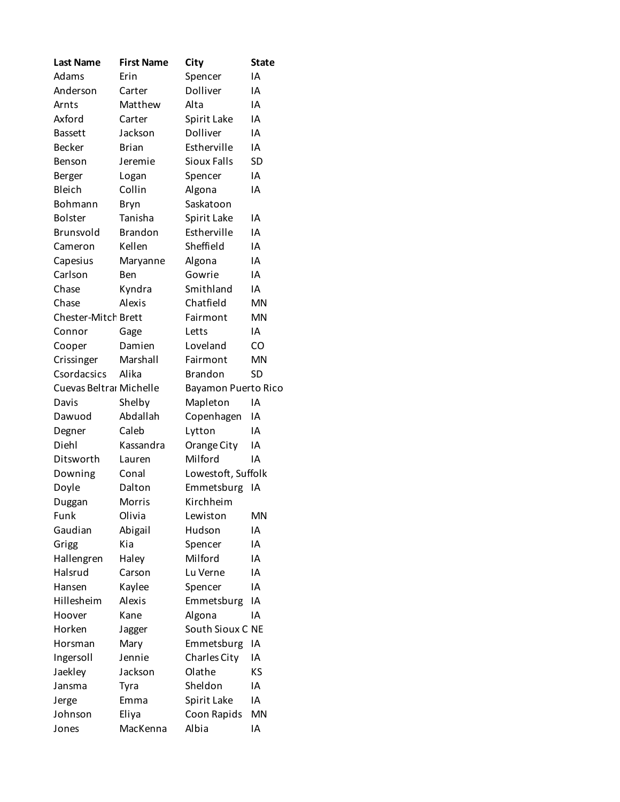| <b>Last Name</b>               | <b>First Name</b> | City                       | <b>State</b> |
|--------------------------------|-------------------|----------------------------|--------------|
| Adams                          | Erin              | Spencer                    | IA           |
| Anderson                       | Carter            | Dolliver                   | IΑ           |
| Arnts                          | Matthew           | Alta                       | IA           |
| Axford                         | Carter            | Spirit Lake                | IA           |
| <b>Bassett</b>                 | Jackson           | Dolliver                   | IA           |
| <b>Becker</b>                  | <b>Brian</b>      | Estherville                | IΑ           |
| Benson                         | Jeremie           | Sioux Falls                | <b>SD</b>    |
| Berger                         | Logan             | Spencer                    | IA           |
| Bleich                         | Collin            | Algona                     | IA           |
| Bohmann                        | Bryn              | Saskatoon                  |              |
| <b>Bolster</b>                 | Tanisha           | Spirit Lake                | IA           |
| Brunsvold                      | <b>Brandon</b>    | Estherville                | IA           |
| Cameron                        | Kellen            | Sheffield                  | IA           |
| Capesius                       | Maryanne          | Algona                     | IA           |
| Carlson                        | Ben               | Gowrie                     | IA           |
| Chase                          | Kyndra            | Smithland                  | IA           |
| Chase                          | <b>Alexis</b>     | Chatfield                  | <b>MN</b>    |
| <b>Chester-Mitch Brett</b>     |                   | Fairmont                   | <b>MN</b>    |
| Connor                         | Gage              | Letts                      | IΑ           |
| Cooper                         | Damien            | Loveland                   | CO           |
| Crissinger                     | Marshall          | Fairmont                   | <b>MN</b>    |
| Csordacsics                    | Alika             | <b>Brandon</b>             | <b>SD</b>    |
| <b>Cuevas Beltrar Michelle</b> |                   | <b>Bayamon Puerto Rico</b> |              |
| Davis                          | Shelby            | Mapleton                   | IA           |
| Dawuod                         | Abdallah          | Copenhagen                 | IA           |
|                                | Caleb             | Lytton                     | IA           |
| Degner<br>Diehl                | Kassandra         |                            | IA           |
|                                |                   | Orange City<br>Milford     |              |
| Ditsworth                      | Lauren            |                            | IA           |
| Downing                        | Conal             | Lowestoft, Suffolk         |              |
| Doyle                          | Dalton            | Emmetsburg                 | I٨           |
| Duggan                         | Morris            | Kirchheim                  |              |
| Funk                           | Olivia            | Lewiston                   | MN           |
| Gaudian                        | Abigail           | Hudson                     | IA           |
| Grigg                          | Kia               | Spencer                    | ΙA           |
| Hallengren                     | Haley             | Milford                    | IΑ           |
| Halsrud                        | Carson            | Lu Verne                   | ΙA           |
| Hansen                         | Kaylee            | Spencer                    | ΙA           |
| Hillesheim                     | Alexis            | Emmetsburg                 | ΙA           |
| Hoover                         | Kane              | Algona                     | IA           |
| Horken                         | Jagger            | South Sioux C              | <b>NE</b>    |
| Horsman                        | Mary              | Emmetsburg                 | ΙA           |
| Ingersoll                      | Jennie            | <b>Charles City</b>        | ΙA           |
| Jaekley                        | Jackson           | Olathe                     | ΚS           |
| Jansma                         | Tyra              | Sheldon                    | ΙA           |
| Jerge                          | Emma              | Spirit Lake                | ΙA           |
| Johnson                        | Eliya             | Coon Rapids                | <b>MN</b>    |
| Jones                          | MacKenna          | Albia                      | ΙA           |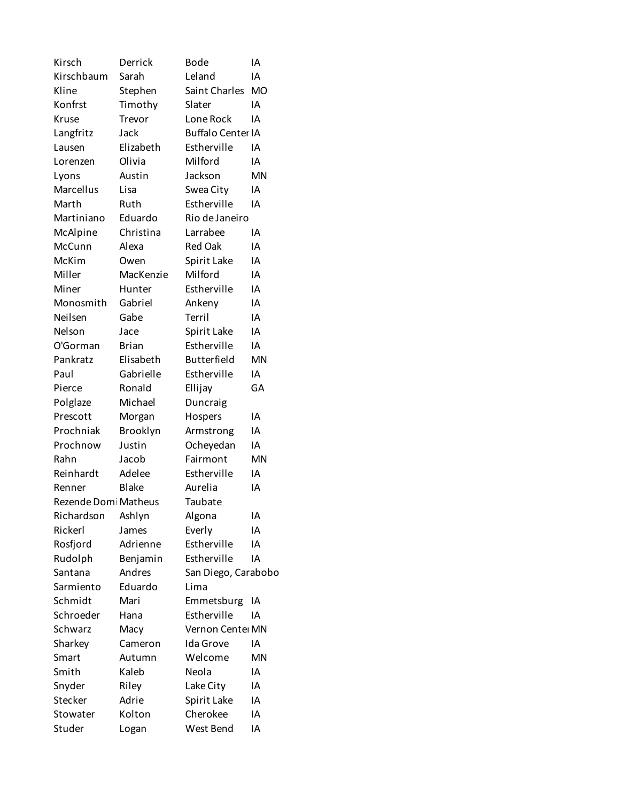| Kirsch               | Derrick      | Bode                      | IA        |
|----------------------|--------------|---------------------------|-----------|
| Kirschbaum           | Sarah        | Leland                    | IA        |
| Kline                | Stephen      | Saint Charles             | <b>MO</b> |
| Konfrst              | Timothy      | Slater                    | IA        |
| Kruse                | Trevor       | Lone Rock                 | IA        |
| Langfritz            | Jack         | <b>Buffalo Center IA</b>  |           |
| Lausen               | Elizabeth    | Estherville               | IA        |
| Lorenzen             | Olivia       | Milford                   | IA        |
| Lyons                | Austin       | Jackson                   | <b>MN</b> |
| Marcellus            | Lisa         | Swea City                 | IA        |
| Marth                | Ruth         | Estherville               | IA        |
| Martiniano           | Eduardo      | Rio de Janeiro            |           |
| McAlpine             | Christina    | Larrabee                  | IA        |
| McCunn               | Alexa        | <b>Red Oak</b>            | IA        |
| McKim                | Owen         | Spirit Lake               | IΑ        |
| Miller               | MacKenzie    | Milford                   | IΑ        |
| Miner                | Hunter       | Estherville               | IA        |
| Monosmith            | Gabriel      | Ankeny                    | IA        |
| Neilsen              | Gabe         | Terril                    | ΙA        |
| Nelson               | Jace         | Spirit Lake               | IΑ        |
| O'Gorman             | <b>Brian</b> | Estherville               | IA        |
| Pankratz             | Elisabeth    | <b>Butterfield</b>        | <b>MN</b> |
| Paul                 | Gabrielle    | Estherville               | IA        |
| Pierce               | Ronald       | Ellijay                   | GA        |
| Polglaze             | Michael      | Duncraig                  |           |
| Prescott             | Morgan       | Hospers                   | IΑ        |
| Prochniak            | Brooklyn     | Armstrong                 | IΑ        |
| Prochnow             | Justin       | Ocheyedan                 | ΙA        |
| Rahn                 | Jacob        | Fairmont                  | MN        |
| Reinhardt            | Adelee       | Estherville               | IA        |
| Renner               | <b>Blake</b> | Aurelia                   | IA        |
| Rezende Domi Matheus |              | Taubate                   |           |
| Richardson           | Ashlyn       | Algona                    | IA        |
| Rickerl              | James        | Everly                    | ΙA        |
| Rosfjord             | Adrienne     | Estherville               | IΑ        |
| Rudolph              | Benjamin     | Estherville               | IΑ        |
| Santana              | Andres       | San Diego, Carabobo       |           |
| Sarmiento            | Eduardo      | Lima                      |           |
| Schmidt              | Mari         |                           | ΙA        |
| Schroeder            | Hana         | Emmetsburg<br>Estherville | IΑ        |
| Schwarz              |              |                           |           |
|                      | Macy         | Vernon Centel MN          |           |
| Sharkey              | Cameron      | Ida Grove                 | ΙA        |
| Smart                | Autumn       | Welcome                   | MN        |
| Smith                | Kaleb        | Neola                     | IΑ        |
| Snyder               | Riley        | Lake City                 | IΑ        |
| Stecker              | Adrie        | Spirit Lake               | ΙA        |
| Stowater             | Kolton       | Cherokee                  | ΙA        |
| Studer               | Logan        | West Bend                 | ΙA        |